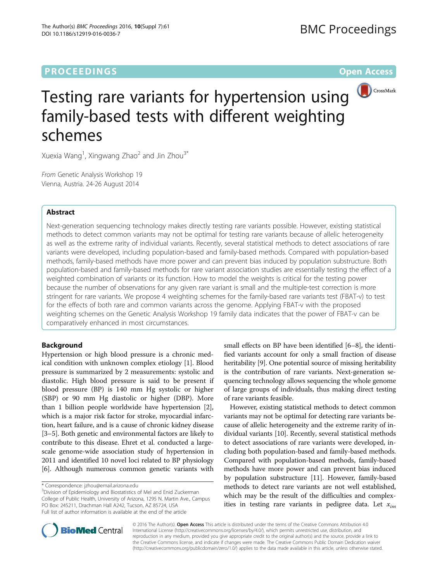## **PROCEEDINGS CONSUMING SECTION CONSUMING SECTION CONSUMING SECTION CONSUMING SECTION CONSUMING SECTION CONSUMING SECTION CONSUMING SECTION CONSUMING SECTION CONSUMING SECTION CONSUMING SECTION CONSUMING SECTION CONSUMING**



# Testing rare variants for hypertension using family-based tests with different weighting schemes

Xuexia Wang<sup>1</sup>, Xingwang Zhao<sup>2</sup> and Jin Zhou<sup>3\*</sup>

From Genetic Analysis Workshop 19 Vienna, Austria. 24-26 August 2014

### Abstract

Next-generation sequencing technology makes directly testing rare variants possible. However, existing statistical methods to detect common variants may not be optimal for testing rare variants because of allelic heterogeneity as well as the extreme rarity of individual variants. Recently, several statistical methods to detect associations of rare variants were developed, including population-based and family-based methods. Compared with population-based methods, family-based methods have more power and can prevent bias induced by population substructure. Both population-based and family-based methods for rare variant association studies are essentially testing the effect of a weighted combination of variants or its function. How to model the weights is critical for the testing power because the number of observations for any given rare variant is small and the multiple-test correction is more stringent for rare variants. We propose 4 weighting schemes for the family-based rare variants test (FBAT-v) to test for the effects of both rare and common variants across the genome. Applying FBAT-v with the proposed weighting schemes on the Genetic Analysis Workshop 19 family data indicates that the power of FBAT-v can be comparatively enhanced in most circumstances.

#### Background

Hypertension or high blood pressure is a chronic medical condition with unknown complex etiology [[1](#page-4-0)]. Blood pressure is summarized by 2 measurements: systolic and diastolic. High blood pressure is said to be present if blood pressure (BP) is 140 mm Hg systolic or higher (SBP) or 90 mm Hg diastolic or higher (DBP). More than 1 billion people worldwide have hypertension [\[2](#page-4-0)], which is a major risk factor for stroke, myocardial infarction, heart failure, and is a cause of chronic kidney disease [[3](#page-4-0)–[5](#page-4-0)]. Both genetic and environmental factors are likely to contribute to this disease. Ehret et al. conducted a largescale genome-wide association study of hypertension in 2011 and identified 10 novel loci related to BP physiology [[6\]](#page-4-0). Although numerous common genetic variants with

<sup>3</sup>Division of Epidemiology and Biostatistics of Mel and Enid Zuckerman College of Public Health, University of Arizona, 1295 N. Martin Ave., Campus PO Box: 245211, Drachman Hall A242, Tucson, AZ 85724, USA Full list of author information is available at the end of the article

small effects on BP have been identified [[6](#page-4-0)–[8](#page-4-0)], the identified variants account for only a small fraction of disease heritability [\[9](#page-4-0)]. One potential source of missing heritability is the contribution of rare variants. Next-generation sequencing technology allows sequencing the whole genome of large groups of individuals, thus making direct testing of rare variants feasible.

However, existing statistical methods to detect common variants may not be optimal for detecting rare variants because of allelic heterogeneity and the extreme rarity of individual variants [[10](#page-4-0)]. Recently, several statistical methods to detect associations of rare variants were developed, including both population-based and family-based methods. Compared with population-based methods, family-based methods have more power and can prevent bias induced by population substructure [[11](#page-4-0)]. However, family-based methods to detect rare variants are not well established, which may be the result of the difficulties and complexities in testing rare variants in pedigree data. Let  $x_{im}$ 



© 2016 The Author(s). Open Access This article is distributed under the terms of the Creative Commons Attribution 4.0 International License [\(http://creativecommons.org/licenses/by/4.0/](http://creativecommons.org/licenses/by/4.0/)), which permits unrestricted use, distribution, and reproduction in any medium, provided you give appropriate credit to the original author(s) and the source, provide a link to the Creative Commons license, and indicate if changes were made. The Creative Commons Public Domain Dedication waiver [\(http://creativecommons.org/publicdomain/zero/1.0/](http://creativecommons.org/publicdomain/zero/1.0/)) applies to the data made available in this article, unless otherwise stated.

<sup>\*</sup> Correspondence: [jzhou@email.arizona.edu](mailto:jzhou@email.arizona.edu) <sup>3</sup>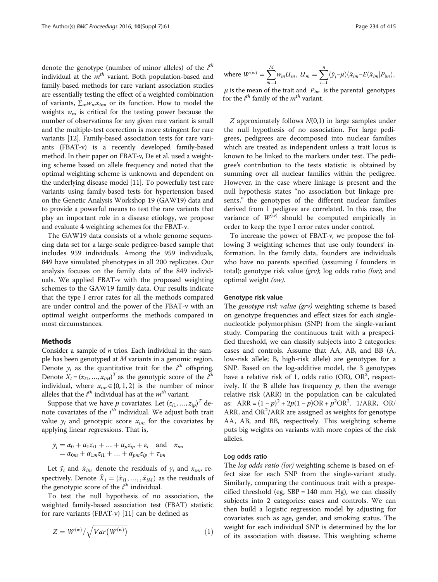denote the genotype (number of minor alleles) of the i<sup>th</sup> individual at the  $m<sup>th</sup>$  variant. Both population-based and family-based methods for rare variant association studies are essentially testing the effect of a weighted combination of variants,  $\Sigma_m w_m x_{im}$ , or its function. How to model the weights  $w_m$  is critical for the testing power because the number of observations for any given rare variant is small and the multiple-test correction is more stringent for rare variants [[12](#page-4-0)]. Family-based association tests for rare variants (FBAT-v) is a recently developed family-based method. In their paper on FBAT-v, De et al. used a weighting scheme based on allele frequency and noted that the optimal weighting scheme is unknown and dependent on the underlying disease model [\[11\]](#page-4-0). To powerfully test rare variants using family-based tests for hypertension based on the Genetic Analysis Workshop 19 (GAW19) data and to provide a powerful means to test the rare variants that play an important role in a disease etiology, we propose and evaluate 4 weighting schemes for the FBAT-v.

The GAW19 data consists of a whole genome sequencing data set for a large-scale pedigree-based sample that includes 959 individuals. Among the 959 individuals, 849 have simulated phenotypes in all 200 replicates. Our analysis focuses on the family data of the 849 individuals. We applied FBAT-v with the proposed weighting schemes to the GAW19 family data. Our results indicate that the type I error rates for all the methods compared are under control and the power of the FBAT-v with an optimal weight outperforms the methods compared in most circumstances.

#### Methods

Consider a sample of  $n$  trios. Each individual in the sample has been genotyped at M variants in a genomic region. Denote  $y_i$  as the quantitative trait for the  $i^{th}$  offspring. Denote  $X_i = (x_{i1}, ..., x_{iM})^T$  as the genotypic score of the  $i^{th}$ individual, where  $x_{im} \in \{0, 1, 2\}$  is the number of minor alleles that the  $i^{th}$  individual has at the  $m^{th}$  variant.

Suppose that we have  $p$  covariates. Let  $(z_{i1},...,z_{ip})^T$  denote covariates of the  $i<sup>th</sup>$  individual. We adjust both trait value  $y_i$  and genotypic score  $x_{im}$  for the covariates by applying linear regressions. That is,

$$
y_i = \alpha_0 + \alpha_1 z_{i1} + \dots + \alpha_p z_{ip} + \varepsilon_i \text{ and } x_{im}
$$
  
=  $\alpha_{0m} + \alpha_{1m} z_{i1} + \dots + \alpha_{pm} z_{ip} + \tau_{im}$ 

Let  $\tilde{y}_i$  and  $\tilde{x}_{im}$  denote the residuals of  $y_i$  and  $x_{im}$ , respectively. Denote  $\tilde{X}_i = (\tilde{x}_{i1}, \ldots, \tilde{x}_{iM})$  as the residuals of the genotypic score of the  $i<sup>th</sup>$  individual.

To test the null hypothesis of no association, the weighted family-based association test (FBAT) statistic for rare variants (FBAT-v) [\[11](#page-4-0)] can be defined as

$$
Z = W^{(w)}/\sqrt{Var(W^{(w)})}
$$
 (1)

where 
$$
W^{(w)} = \sum_{m=1}^{M} w_m U_m
$$
,  $U_m = \sum_{i=1}^{n} (\tilde{y}_i - \mu)(\tilde{x}_{im} - E(\tilde{x}_{im} | P_{im}))$ ,

 $\mu$  is the mean of the trait and  $P_{im}$  is the parental genotypes for the  $i^{th}$  family of the  $m^{th}$  variant.

 $Z$  approximately follows  $N(0,1)$  in large samples under the null hypothesis of no association. For large pedigrees, pedigrees are decomposed into nuclear families which are treated as independent unless a trait locus is known to be linked to the markers under test. The pedigree's contribution to the tests statistic is obtained by summing over all nuclear families within the pedigree. However, in the case where linkage is present and the null hypothesis states "no association but linkage presents," the genotypes of the different nuclear families derived from 1 pedigree are correlated. In this case, the variance of  $W^{(w)}$  should be computed empirically in order to keep the type I error rates under control.

To increase the power of FBAT-v, we propose the following 3 weighting schemes that use only founders' information. In the family data, founders are individuals who have no parents specified (assuming  $l$  founders in total): genotype risk value  $(qrv)$ ; log odds ratio (lor); and optimal weight (ow).

#### Genotype risk value

The genotype risk value (grv) weighting scheme is based on genotype frequencies and effect sizes for each singlenucleotide polymorphism (SNP) from the single-variant study. Comparing the continuous trait with a prespecified threshold, we can classify subjects into 2 categories: cases and controls. Assume that AA, AB, and BB (A, low-risk allele; B, high-risk allele) are genotypes for a SNP. Based on the log-additive model, the 3 genotypes have a relative risk of 1, odds ratio (OR), OR<sup>2</sup>, respectively. If the B allele has frequency  $p$ , then the average relative risk (ARR) in the population can be calculated as:  $ARR = (1 - p)^2 + 2p(1 - p)OR + p^2OR^2$ . 1/ARR, OR/ ARR, and  $OR^2/ARR$  are assigned as weights for genotype AA, AB, and BB, respectively. This weighting scheme puts big weights on variants with more copies of the risk alleles.

#### Log odds ratio

The *log odds ratio (lor)* weighting scheme is based on effect size for each SNP from the single-variant study. Similarly, comparing the continuous trait with a prespecified threshold (eg,  $SBP = 140$  mm Hg), we can classify subjects into 2 categories: cases and controls. We can then build a logistic regression model by adjusting for covariates such as age, gender, and smoking status. The weight for each individual SNP is determined by the lor of its association with disease. This weighting scheme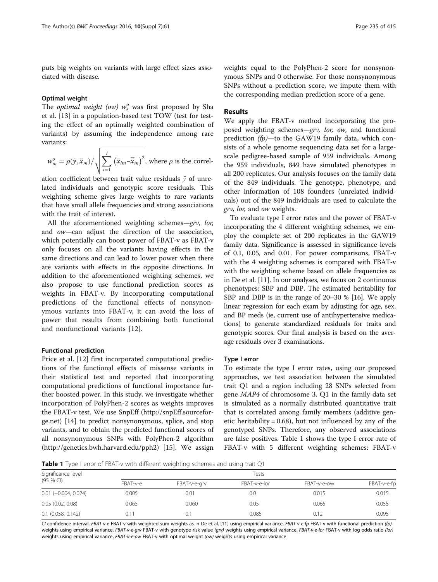puts big weights on variants with large effect sizes associated with disease.

#### Optimal weight

The *optimal weight (ow)*  $w_s^o$  was first proposed by Sha et al. [[13\]](#page-4-0) in a population-based test TOW (test for testing the effect of an optimally weighted combination of variants) by assuming the independence among rare variants:

$$
w_m^o = \rho(\tilde{y}, \tilde{x}_m) / \sqrt{\sum_{i=1}^l (\tilde{x}_{im} - \overline{\tilde{x}}_m)^2}
$$
, where  $\rho$  is the correl-

ation coefficient between trait value residuals  $\tilde{y}$  of unrelated individuals and genotypic score residuals. This weighting scheme gives large weights to rare variants that have small allele frequencies and strong associations with the trait of interest.

All the aforementioned weighting schemes—grv, lor, and ow—can adjust the direction of the association, which potentially can boost power of FBAT-v as FBAT-v only focuses on all the variants having effects in the same directions and can lead to lower power when there are variants with effects in the opposite directions. In addition to the aforementioned weighting schemes, we also propose to use functional prediction scores as weights in FBAT-v. By incorporating computational predictions of the functional effects of nonsynonymous variants into FBAT-v, it can avoid the loss of power that results from combining both functional and nonfunctional variants [\[12](#page-4-0)].

#### Functional prediction

Price et al. [\[12](#page-4-0)] first incorporated computational predictions of the functional effects of missense variants in their statistical test and reported that incorporating computational predictions of functional importance further boosted power. In this study, we investigate whether incorporation of PolyPhen-2 scores as weights improves the FBAT-v test. We use SnpEff ([http://snpEff.sourcefor](http://snpeff.sourceforge.net/)[ge.net\)](http://snpeff.sourceforge.net/) [\[14\]](#page-4-0) to predict nonsynonymous, splice, and stop variants, and to obtain the predicted functional scores of all nonsynonymous SNPs with PolyPhen-2 algorithm (<http://genetics.bwh.harvard.edu/pph2>) [\[15\]](#page-4-0). We assign

weights equal to the PolyPhen-2 score for nonsynonymous SNPs and 0 otherwise. For those nonsynonymous SNPs without a prediction score, we impute them with the corresponding median prediction score of a gene.

#### Results

We apply the FBAT-v method incorporating the proposed weighting schemes—grv, lor, ow, and functional prediction  $(p)$ —to the GAW19 family data, which consists of a whole genome sequencing data set for a largescale pedigree-based sample of 959 individuals. Among the 959 individuals, 849 have simulated phenotypes in all 200 replicates. Our analysis focuses on the family data of the 849 individuals. The genotype, phenotype, and other information of 108 founders (unrelated individuals) out of the 849 individuals are used to calculate the grv, lor, and ow weights.

To evaluate type I error rates and the power of FBAT-v incorporating the 4 different weighting schemes, we employ the complete set of 200 replicates in the GAW19 family data. Significance is assessed in significance levels of 0.1, 0.05, and 0.01. For power comparisons, FBAT-v with the 4 weighting schemes is compared with FBAT-v with the weighting scheme based on allele frequencies as in De et al. [[11](#page-4-0)]. In our analyses, we focus on 2 continuous phenotypes: SBP and DBP. The estimated heritability for SBP and DBP is in the range of 20–30 % [\[16\]](#page-4-0). We apply linear regression for each exam by adjusting for age, sex, and BP meds (ie, current use of antihypertensive medications) to generate standardized residuals for traits and genotypic scores. Our final analysis is based on the average residuals over 3 examinations.

#### Type I error

To estimate the type I error rates, using our proposed approaches, we test association between the simulated trait Q1 and a region including 28 SNPs selected from gene MAP4 of chromosome 3. Q1 in the family data set is simulated as a normally distributed quantitative trait that is correlated among family members (additive genetic heritability =  $0.68$ ), but not influenced by any of the genotyped SNPs. Therefore, any observed associations are false positives. Table 1 shows the type I error rate of FBAT-v with 5 different weighting schemes: FBAT-v

Table 1 Type I error of FBAT-v with different weighting schemes and using trait Q1

| Significance level            | Tests    |              |              |             |             |  |
|-------------------------------|----------|--------------|--------------|-------------|-------------|--|
| $(95%$ CI)                    | FBAT-v-e | FBAT-v-e-grv | FBAT-v-e-lor | FBAT-v-e-ow | FBAT-v-e-fp |  |
| $0.01$ ( $-0.004$ , $0.024$ ) | 0.005    | 0.01         | 0.0          | 0.015       | 0.015       |  |
| 0.05(0.02, 0.08)              | 0.065    | 0.060        | 0.05         | 0.065       | 0.055       |  |
| 0.1(0.058, 0.142)             | 0.1      | 0.1          | 0.085        | 0.12        | 0.095       |  |

CI confidence interval, FBAT-v-e FBAT-v with weighted sum weights as in De et al. [[11](#page-4-0)] using empirical variance, FBAT-v-e-fp FBAT-v with functional prediction (fp) weights using empirical variance, FBAT-v-e-grv FBAT-v with genotype risk value (grv) weights using empirical variance, FBAT-v-e-lor FBAT-v with log odds ratio (lor) weights using empirical variance, FBAT-v-e-ow FBAT-v with optimal weight (ow) weights using empirical variance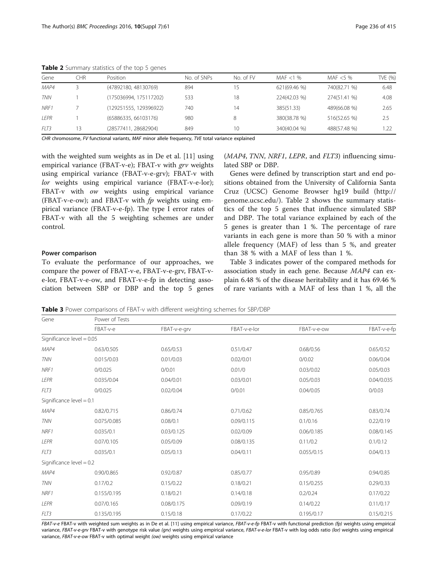| Gene        | CHR  | Position               | No. of SNPs | No. of FV | MAF $<$ 1 %  | MAF $<$ 5 %  | TVE (%) |
|-------------|------|------------------------|-------------|-----------|--------------|--------------|---------|
| MAP4        |      | (47892180, 48130769)   | 894         |           | 621(69.46 %) | 740(82.71 %) | 6.48    |
| <b>TNN</b>  |      | (175036994, 175117202) | 533         | 18        | 224(42.03 %) | 274(51.41 %) | 4.08    |
| NRF1        |      | (129251555, 129396922) | 740         | 14        | 385(51.33)   | 489(66.08 %) | 2.65    |
| <b>LEPR</b> |      | (65886335, 66103176)   | 980         |           | 380(38.78 %) | 516(52.65 %) | 2.5     |
| FLT3        | 13   | (28577411, 28682904)   | 849         | 10        | 340(40.04 %) | 488(57.48 %) | 1.22    |
| $-1$ $-1$   | ---- | .<br>.                 | ____        | .         |              |              |         |

<span id="page-3-0"></span>Table 2 Summary statistics of the top 5 genes

CHR chromosome, FV functional variants, MAF minor allele frequency, TVE total variance explained

with the weighted sum weights as in De et al. [[11](#page-4-0)] using empirical variance (FBAT-v-e); FBAT-v with grv weights using empirical variance (FBAT-v-e-grv); FBAT-v with lor weights using empirical variance (FBAT-v-e-lor); FBAT-v with ow weights using empirical variance (FBAT-v-e-ow); and FBAT-v with  $fp$  weights using empirical variance (FBAT-v-e-fp). The type I error rates of FBAT-v with all the 5 weighting schemes are under control.

#### Power comparison

To evaluate the performance of our approaches, we compare the power of FBAT-v-e, FBAT-v-e-grv, FBAT-ve-lor, FBAT-v-e-ow, and FBAT-v-e-fp in detecting association between SBP or DBP and the top 5 genes

(MAP4, TNN, NRF1, LEPR, and FLT3) influencing simulated SBP or DBP.

Genes were defined by transcription start and end positions obtained from the University of California Santa Cruz (UCSC) Genome Browser hg19 build ([http://](http://genome.ucsc.edu/) [genome.ucsc.edu/](http://genome.ucsc.edu/)). Table 2 shows the summary statistics of the top 5 genes that influence simulated SBP and DBP. The total variance explained by each of the 5 genes is greater than 1 %. The percentage of rare variants in each gene is more than 50 % with a minor allele frequency (MAF) of less than 5 %, and greater than 38 % with a MAF of less than 1 %.

Table 3 indicates power of the compared methods for association study in each gene. Because MAP4 can explain 6.48 % of the disease heritability and it has 69.46 % of rare variants with a MAF of less than 1 %, all the

Table 3 Power comparisons of FBAT-v with different weighting schemes for SBP/DBP

| Gene                        | Power of Tests |              |              |             |             |  |  |  |
|-----------------------------|----------------|--------------|--------------|-------------|-------------|--|--|--|
|                             | FBAT-v-e       | FBAT-v-e-grv | FBAT-v-e-lor | FBAT-v-e-ow | FBAT-v-e-fp |  |  |  |
| Significance level $= 0.05$ |                |              |              |             |             |  |  |  |
| MAP4                        | 0.63/0.505     | 0.65/0.53    | 0.51/0.47    | 0.68/0.56   | 0.65/0.52   |  |  |  |
| <b>TNN</b>                  | 0.015/0.03     | 0.01/0.03    | 0.02/0.01    | 0/0.02      | 0.06/0.04   |  |  |  |
| NRF1                        | 0/0.025        | 0/0.01       | 0.01/0       | 0.03/0.02   | 0.05/0.03   |  |  |  |
| LEPR                        | 0.035/0.04     | 0.04/0.01    | 0.03/0.01    | 0.05/0.03   | 0.04/0.035  |  |  |  |
| FLT3                        | 0/0.025        | 0.02/0.04    | 0/0.01       | 0.04/0.05   | 0/0.03      |  |  |  |
| Significance $level = 0.1$  |                |              |              |             |             |  |  |  |
| MAP4                        | 0.82/0.715     | 0.86/0.74    | 0.71/0.62    | 0.85/0.765  | 0.83/0.74   |  |  |  |
| <b>TNN</b>                  | 0.075/0.085    | 0.08/0.1     | 0.09/0.115   | 0.1/0.16    | 0.22/0.19   |  |  |  |
| NRF1                        | 0.035/0.1      | 0.03/0.125   | 0.02/0.09    | 0.06/0.185  | 0.08/0.145  |  |  |  |
| LEPR                        | 0.07/0.105     | 0.05/0.09    | 0.08/0.135   | 0.11/0.2    | 0.1/0.12    |  |  |  |
| FLT3                        | 0.035/0.1      | 0.05/0.13    | 0.04/0.11    | 0.055/0.15  | 0.04/0.13   |  |  |  |
| Significance level $= 0.2$  |                |              |              |             |             |  |  |  |
| MAP4                        | 0.90/0.865     | 0.92/0.87    | 0.85/0.77    | 0.95/0.89   | 0.94/0.85   |  |  |  |
| <b>TNN</b>                  | 0.17/0.2       | 0.15/0.22    | 0.18/0.21    | 0.15/0.255  | 0.29/0.33   |  |  |  |
| NRF1                        | 0.155/0.195    | 0.18/0.21    | 0.14/0.18    | 0.2/0.24    | 0.17/0.22   |  |  |  |
| LEPR                        | 0.07/0.165     | 0.08/0.175   | 0.09/0.19    | 0.14/0.22   | 0.11/0.17   |  |  |  |
| FLT3                        | 0.135/0.195    | 0.15/0.18    | 0.17/0.22    | 0.195/0.17  | 0.15/0.215  |  |  |  |

FBAT-v-e FBAT-v with weighted sum weights as in De et al. [\[11\]](#page-4-0) using empirical variance, FBAT-v-e-fp FBAT-v with functional prediction (fp) weights using empirical variance, FBAT-v-e-grv FBAT-v with genotype risk value (grv) weights using empirical variance, FBAT-v-e-lor FBAT-v with log odds ratio (lor) weights using empirical variance, FBAT-v-e-ow FBAT-v with optimal weight (ow) weights using empirical variance